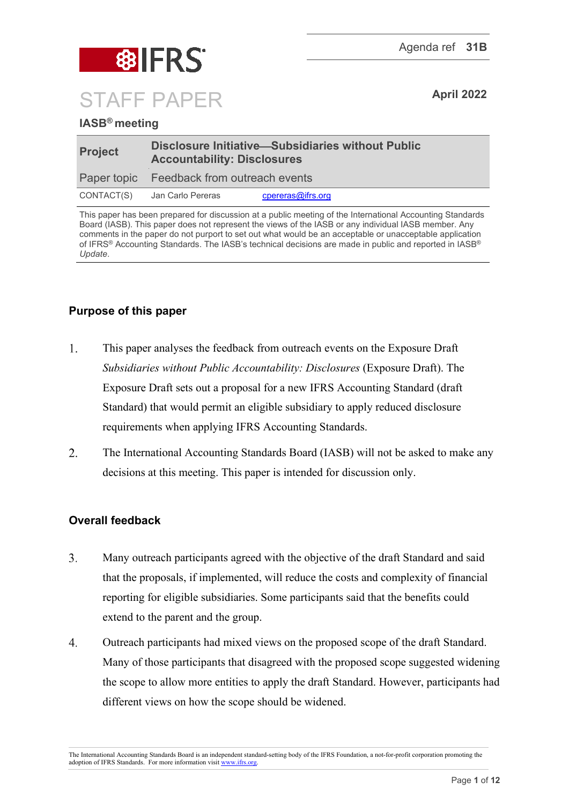

# **IASB® meeting**

| <b>Project</b> | Disclosure Initiative-Subsidiaries without Public<br><b>Accountability: Disclosures</b> |                   |  |
|----------------|-----------------------------------------------------------------------------------------|-------------------|--|
|                | Paper topic Feedback from outreach events                                               |                   |  |
|                | CONTACT(S) Jan Carlo Pereras                                                            | cpereras@ifrs.org |  |

This paper has been prepared for discussion at a public meeting of the International Accounting Standards Board (IASB). This paper does not represent the views of the IASB or any individual IASB member. Any comments in the paper do not purport to set out what would be an acceptable or unacceptable application of IFRS® Accounting Standards. The IASB's technical decisions are made in public and reported in IASB® *Update*.

# **Purpose of this paper**

- $1.$ This paper analyses the feedback from outreach events on the Exposure Draft *Subsidiaries without Public Accountability: Disclosures* (Exposure Draft). The Exposure Draft sets out a proposal for a new IFRS Accounting Standard (draft Standard) that would permit an eligible subsidiary to apply reduced disclosure requirements when applying IFRS Accounting Standards.
- $\overline{2}$ . The International Accounting Standards Board (IASB) will not be asked to make any decisions at this meeting. This paper is intended for discussion only.

# **Overall feedback**

- $\overline{3}$ . Many outreach participants agreed with the objective of the draft Standard and said that the proposals, if implemented, will reduce the costs and complexity of financial reporting for eligible subsidiaries. Some participants said that the benefits could extend to the parent and the group.
- $\overline{4}$ . Outreach participants had mixed views on the proposed scope of the draft Standard. Many of those participants that disagreed with the proposed scope suggested widening the scope to allow more entities to apply the draft Standard. However, participants had different views on how the scope should be widened.

The International Accounting Standards Board is an independent standard-setting body of the IFRS Foundation, a not-for-profit corporation promoting the adoption of IFRS Standards. For more information visi[t www.ifrs.org.](http://www.ifrs.org/)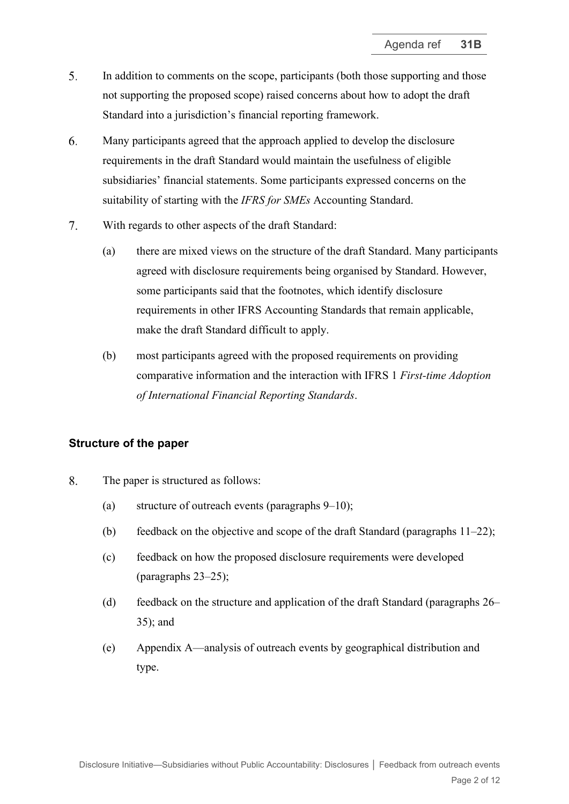- 5. In addition to comments on the scope, participants (both those supporting and those not supporting the proposed scope) raised concerns about how to adopt the draft Standard into a jurisdiction's financial reporting framework.
- 6. Many participants agreed that the approach applied to develop the disclosure requirements in the draft Standard would maintain the usefulness of eligible subsidiaries' financial statements. Some participants expressed concerns on the suitability of starting with the *IFRS for SMEs* Accounting Standard.
- $7<sub>1</sub>$ With regards to other aspects of the draft Standard:
	- (a) there are mixed views on the structure of the draft Standard. Many participants agreed with disclosure requirements being organised by Standard. However, some participants said that the footnotes, which identify disclosure requirements in other IFRS Accounting Standards that remain applicable, make the draft Standard difficult to apply.
	- (b) most participants agreed with the proposed requirements on providing comparative information and the interaction with IFRS 1 *First-time Adoption of International Financial Reporting Standards*.

#### **Structure of the paper**

- 8. The paper is structured as follows:
	- (a) structure of outreach events (paragraphs [9–](#page-2-0)[10\)](#page-2-1);
	- (b) feedback on the objective and scope of the draft Standard (paragraphs  $11-22$ );
	- (c) feedback on how the proposed disclosure requirements were developed (paragraphs [23–](#page-6-0)[25\)](#page-6-1);
	- (d) feedback on the structure and application of the draft Standard (paragraphs [26–](#page-7-0) [35\)](#page-9-0); and
	- (e) Appendix A—analysis of outreach events by geographical distribution and type.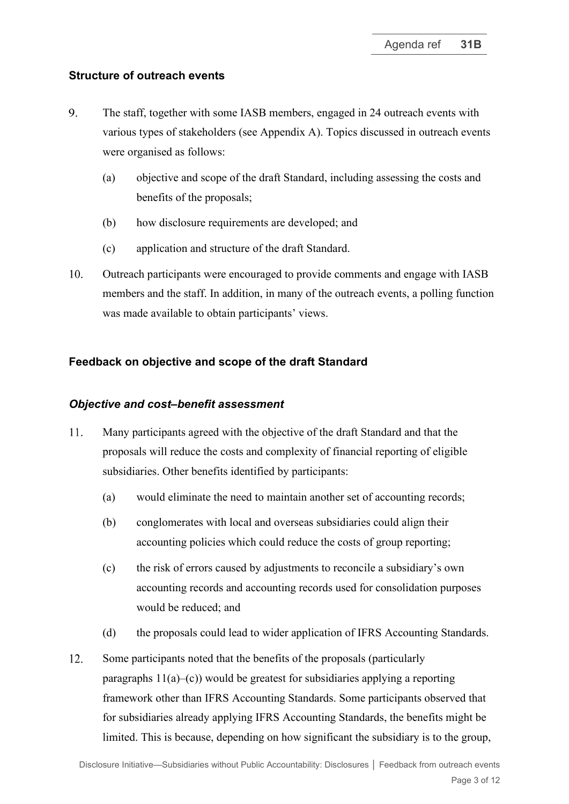## **Structure of outreach events**

- <span id="page-2-0"></span>9. The staff, together with some IASB members, engaged in 24 outreach events with various types of stakeholders (see Appendix A). Topics discussed in outreach events were organised as follows:
	- (a) objective and scope of the draft Standard, including assessing the costs and benefits of the proposals;
	- (b) how disclosure requirements are developed; and
	- (c) application and structure of the draft Standard.
- <span id="page-2-1"></span>10. Outreach participants were encouraged to provide comments and engage with IASB members and the staff. In addition, in many of the outreach events, a polling function was made available to obtain participants' views.

## **Feedback on objective and scope of the draft Standard**

#### *Objective and cost–benefit assessment*

- <span id="page-2-2"></span>11. Many participants agreed with the objective of the draft Standard and that the proposals will reduce the costs and complexity of financial reporting of eligible subsidiaries. Other benefits identified by participants:
	- (a) would eliminate the need to maintain another set of accounting records;
	- (b) conglomerates with local and overseas subsidiaries could align their accounting policies which could reduce the costs of group reporting;
	- (c) the risk of errors caused by adjustments to reconcile a subsidiary's own accounting records and accounting records used for consolidation purposes would be reduced; and
	- (d) the proposals could lead to wider application of IFRS Accounting Standards.
- 12. Some participants noted that the benefits of the proposals (particularly paragraphs  $11(a)$ –(c)) would be greatest for subsidiaries applying a reporting framework other than IFRS Accounting Standards. Some participants observed that for subsidiaries already applying IFRS Accounting Standards, the benefits might be limited. This is because, depending on how significant the subsidiary is to the group,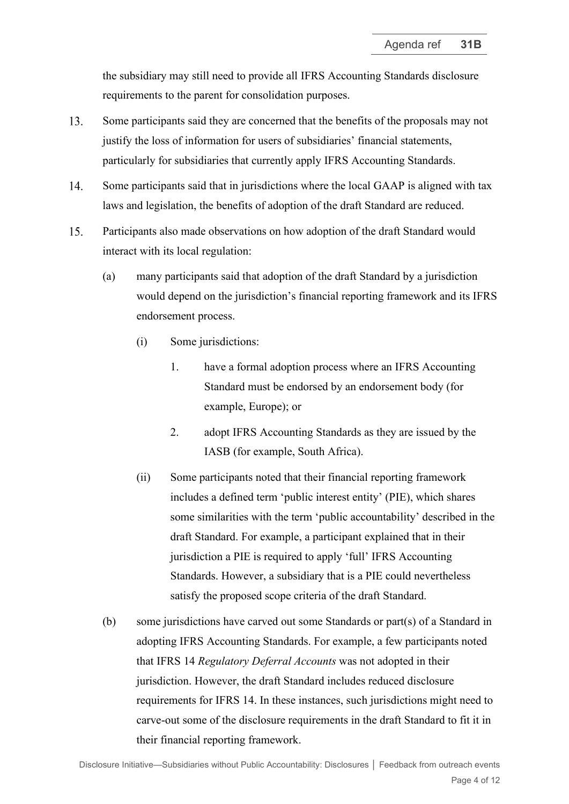the subsidiary may still need to provide all IFRS Accounting Standards disclosure requirements to the parent for consolidation purposes.

- 13. Some participants said they are concerned that the benefits of the proposals may not justify the loss of information for users of subsidiaries' financial statements, particularly for subsidiaries that currently apply IFRS Accounting Standards.
- 14. Some participants said that in jurisdictions where the local GAAP is aligned with tax laws and legislation, the benefits of adoption of the draft Standard are reduced.
- 15. Participants also made observations on how adoption of the draft Standard would interact with its local regulation:
	- (a) many participants said that adoption of the draft Standard by a jurisdiction would depend on the jurisdiction's financial reporting framework and its IFRS endorsement process.
		- (i) Some jurisdictions:
			- 1. have a formal adoption process where an IFRS Accounting Standard must be endorsed by an endorsement body (for example, Europe); or
			- 2. adopt IFRS Accounting Standards as they are issued by the IASB (for example, South Africa).
		- (ii) Some participants noted that their financial reporting framework includes a defined term 'public interest entity' (PIE), which shares some similarities with the term 'public accountability' described in the draft Standard. For example, a participant explained that in their jurisdiction a PIE is required to apply 'full' IFRS Accounting Standards. However, a subsidiary that is a PIE could nevertheless satisfy the proposed scope criteria of the draft Standard.
	- (b) some jurisdictions have carved out some Standards or part(s) of a Standard in adopting IFRS Accounting Standards. For example, a few participants noted that IFRS 14 *Regulatory Deferral Accounts* was not adopted in their jurisdiction. However, the draft Standard includes reduced disclosure requirements for IFRS 14. In these instances, such jurisdictions might need to carve-out some of the disclosure requirements in the draft Standard to fit it in their financial reporting framework.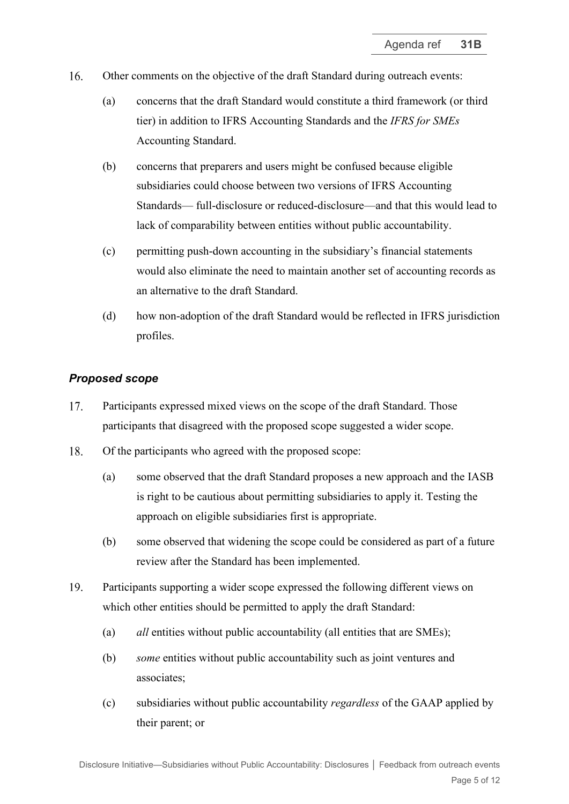- $16.$ Other comments on the objective of the draft Standard during outreach events:
	- (a) concerns that the draft Standard would constitute a third framework (or third tier) in addition to IFRS Accounting Standards and the *IFRS for SMEs*  Accounting Standard.
	- (b) concerns that preparers and users might be confused because eligible subsidiaries could choose between two versions of IFRS Accounting Standards— full-disclosure or reduced-disclosure—and that this would lead to lack of comparability between entities without public accountability.
	- (c) permitting push-down accounting in the subsidiary's financial statements would also eliminate the need to maintain another set of accounting records as an alternative to the draft Standard.
	- (d) how non-adoption of the draft Standard would be reflected in IFRS jurisdiction profiles.

# *Proposed scope*

- 17. Participants expressed mixed views on the scope of the draft Standard. Those participants that disagreed with the proposed scope suggested a wider scope.
- 18. Of the participants who agreed with the proposed scope:
	- (a) some observed that the draft Standard proposes a new approach and the IASB is right to be cautious about permitting subsidiaries to apply it. Testing the approach on eligible subsidiaries first is appropriate.
	- (b) some observed that widening the scope could be considered as part of a future review after the Standard has been implemented.
- 19. Participants supporting a wider scope expressed the following different views on which other entities should be permitted to apply the draft Standard:
	- (a) *all* entities without public accountability (all entities that are SMEs);
	- (b) *some* entities without public accountability such as joint ventures and associates;
	- (c) subsidiaries without public accountability *regardless* of the GAAP applied by their parent; or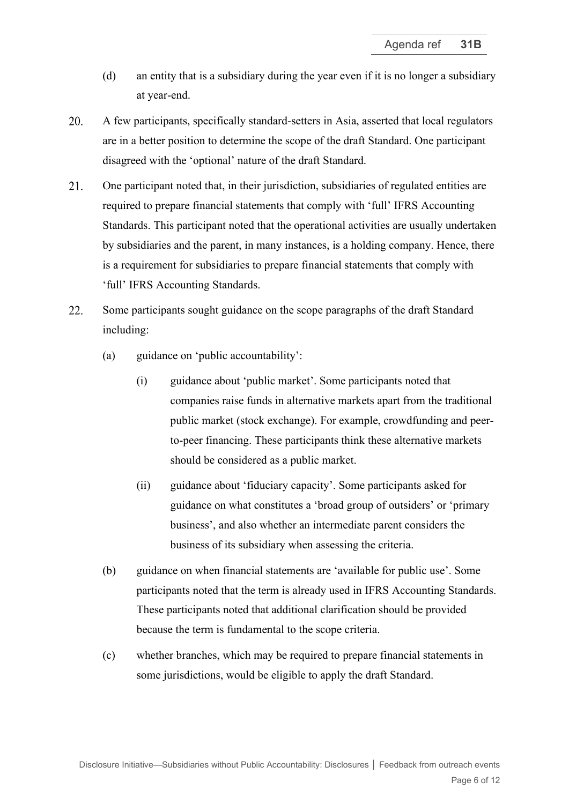- (d) an entity that is a subsidiary during the year even if it is no longer a subsidiary at year-end.
- 20. A few participants, specifically standard-setters in Asia, asserted that local regulators are in a better position to determine the scope of the draft Standard. One participant disagreed with the 'optional' nature of the draft Standard.
- 21. One participant noted that, in their jurisdiction, subsidiaries of regulated entities are required to prepare financial statements that comply with 'full' IFRS Accounting Standards. This participant noted that the operational activities are usually undertaken by subsidiaries and the parent, in many instances, is a holding company. Hence, there is a requirement for subsidiaries to prepare financial statements that comply with 'full' IFRS Accounting Standards.
- <span id="page-5-0"></span>22. Some participants sought guidance on the scope paragraphs of the draft Standard including:
	- (a) guidance on 'public accountability':
		- (i) guidance about 'public market'. Some participants noted that companies raise funds in alternative markets apart from the traditional public market (stock exchange). For example, crowdfunding and peerto-peer financing. These participants think these alternative markets should be considered as a public market.
		- (ii) guidance about 'fiduciary capacity'. Some participants asked for guidance on what constitutes a 'broad group of outsiders' or 'primary business', and also whether an intermediate parent considers the business of its subsidiary when assessing the criteria.
	- (b) guidance on when financial statements are 'available for public use'. Some participants noted that the term is already used in IFRS Accounting Standards. These participants noted that additional clarification should be provided because the term is fundamental to the scope criteria.
	- (c) whether branches, which may be required to prepare financial statements in some jurisdictions, would be eligible to apply the draft Standard.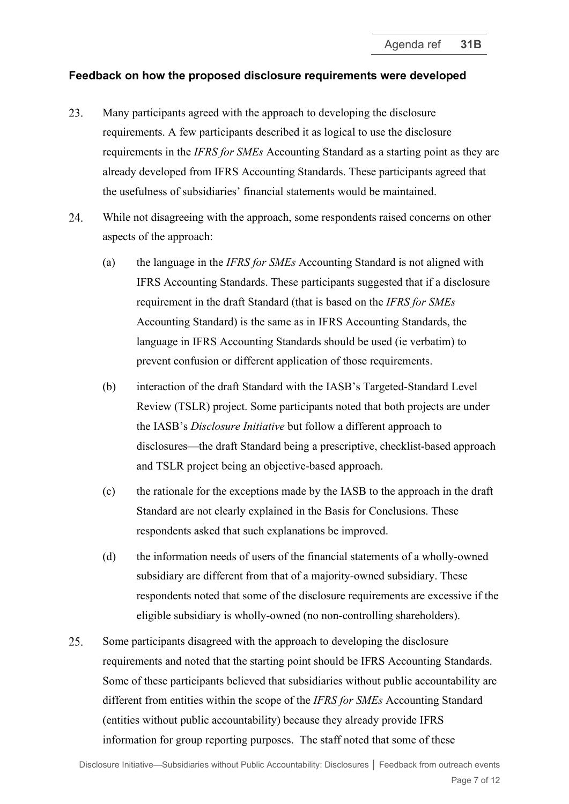#### **Feedback on how the proposed disclosure requirements were developed**

- <span id="page-6-0"></span>23. Many participants agreed with the approach to developing the disclosure requirements. A few participants described it as logical to use the disclosure requirements in the *IFRS for SMEs* Accounting Standard as a starting point as they are already developed from IFRS Accounting Standards. These participants agreed that the usefulness of subsidiaries' financial statements would be maintained.
- 24. While not disagreeing with the approach, some respondents raised concerns on other aspects of the approach:
	- (a) the language in the *IFRS for SMEs* Accounting Standard is not aligned with IFRS Accounting Standards. These participants suggested that if a disclosure requirement in the draft Standard (that is based on the *IFRS for SMEs* Accounting Standard) is the same as in IFRS Accounting Standards, the language in IFRS Accounting Standards should be used (ie verbatim) to prevent confusion or different application of those requirements.
	- (b) interaction of the draft Standard with the IASB's Targeted-Standard Level Review (TSLR) project. Some participants noted that both projects are under the IASB's *Disclosure Initiative* but follow a different approach to disclosures—the draft Standard being a prescriptive, checklist-based approach and TSLR project being an objective-based approach.
	- (c) the rationale for the exceptions made by the IASB to the approach in the draft Standard are not clearly explained in the Basis for Conclusions. These respondents asked that such explanations be improved.
	- (d) the information needs of users of the financial statements of a wholly-owned subsidiary are different from that of a majority-owned subsidiary. These respondents noted that some of the disclosure requirements are excessive if the eligible subsidiary is wholly-owned (no non-controlling shareholders).
- <span id="page-6-1"></span>25. Some participants disagreed with the approach to developing the disclosure requirements and noted that the starting point should be IFRS Accounting Standards. Some of these participants believed that subsidiaries without public accountability are different from entities within the scope of the *IFRS for SMEs* Accounting Standard (entities without public accountability) because they already provide IFRS information for group reporting purposes. The staff noted that some of these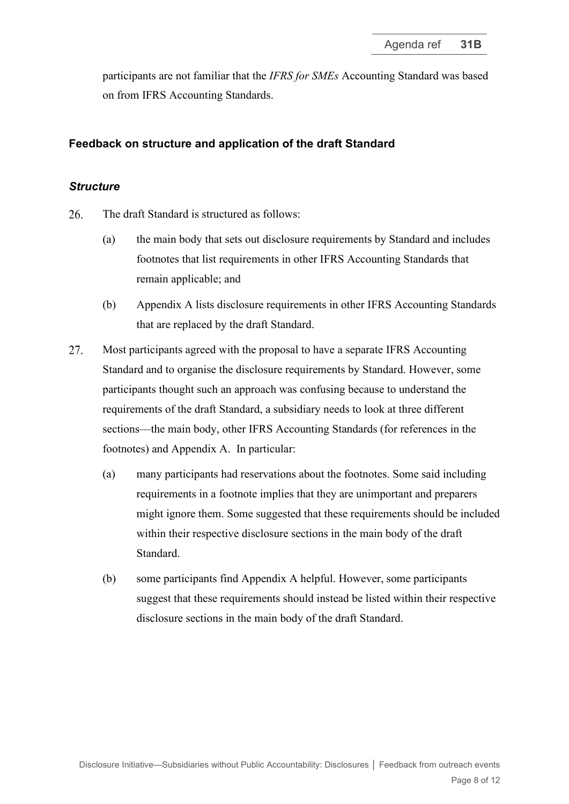participants are not familiar that the *IFRS for SMEs* Accounting Standard was based on from IFRS Accounting Standards.

## **Feedback on structure and application of the draft Standard**

#### *Structure*

- <span id="page-7-0"></span>26. The draft Standard is structured as follows:
	- (a) the main body that sets out disclosure requirements by Standard and includes footnotes that list requirements in other IFRS Accounting Standards that remain applicable; and
	- (b) Appendix A lists disclosure requirements in other IFRS Accounting Standards that are replaced by the draft Standard.
- 27. Most participants agreed with the proposal to have a separate IFRS Accounting Standard and to organise the disclosure requirements by Standard. However, some participants thought such an approach was confusing because to understand the requirements of the draft Standard, a subsidiary needs to look at three different sections—the main body, other IFRS Accounting Standards (for references in the footnotes) and Appendix A. In particular:
	- (a) many participants had reservations about the footnotes. Some said including requirements in a footnote implies that they are unimportant and preparers might ignore them. Some suggested that these requirements should be included within their respective disclosure sections in the main body of the draft Standard.
	- (b) some participants find Appendix A helpful. However, some participants suggest that these requirements should instead be listed within their respective disclosure sections in the main body of the draft Standard.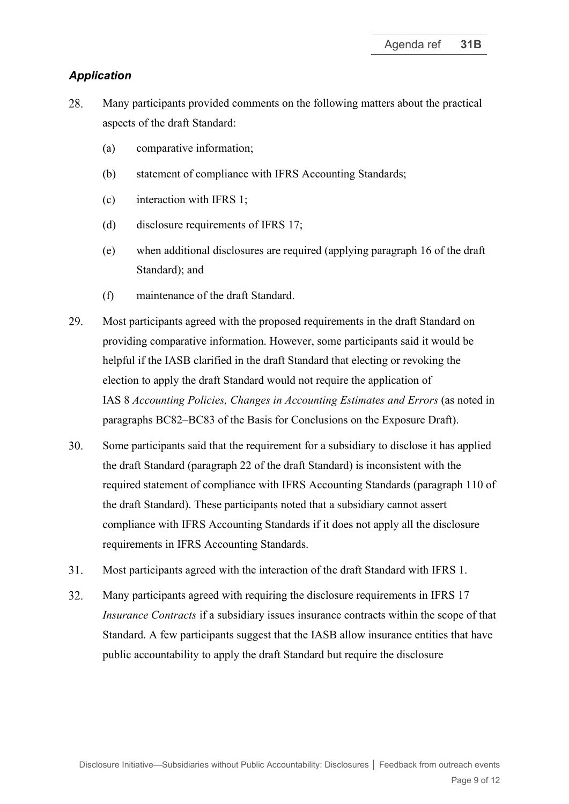## *Application*

- 28. Many participants provided comments on the following matters about the practical aspects of the draft Standard:
	- (a) comparative information;
	- (b) statement of compliance with IFRS Accounting Standards;
	- (c) interaction with IFRS 1;
	- (d) disclosure requirements of IFRS 17;
	- (e) when additional disclosures are required (applying paragraph 16 of the draft Standard); and
	- (f) maintenance of the draft Standard.
- 29. Most participants agreed with the proposed requirements in the draft Standard on providing comparative information. However, some participants said it would be helpful if the IASB clarified in the draft Standard that electing or revoking the election to apply the draft Standard would not require the application of IAS 8 *Accounting Policies, Changes in Accounting Estimates and Errors* (as noted in paragraphs BC82–BC83 of the Basis for Conclusions on the Exposure Draft).
- 30. Some participants said that the requirement for a subsidiary to disclose it has applied the draft Standard (paragraph 22 of the draft Standard) is inconsistent with the required statement of compliance with IFRS Accounting Standards (paragraph 110 of the draft Standard). These participants noted that a subsidiary cannot assert compliance with IFRS Accounting Standards if it does not apply all the disclosure requirements in IFRS Accounting Standards.
- $31.$ Most participants agreed with the interaction of the draft Standard with IFRS 1.
- 32. Many participants agreed with requiring the disclosure requirements in IFRS 17 *Insurance Contracts* if a subsidiary issues insurance contracts within the scope of that Standard. A few participants suggest that the IASB allow insurance entities that have public accountability to apply the draft Standard but require the disclosure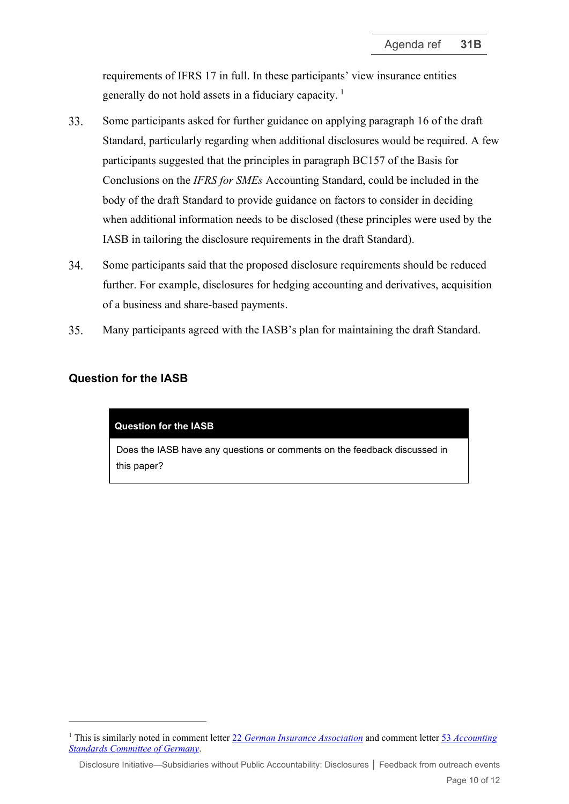requirements of IFRS 17 in full. In these participants' view insurance entities generally do not hold assets in a fiduciary capacity.  $\frac{1}{1}$  $\frac{1}{1}$  $\frac{1}{1}$ 

- 33. Some participants asked for further guidance on applying paragraph 16 of the draft Standard, particularly regarding when additional disclosures would be required. A few participants suggested that the principles in paragraph BC157 of the Basis for Conclusions on the *IFRS for SMEs* Accounting Standard, could be included in the body of the draft Standard to provide guidance on factors to consider in deciding when additional information needs to be disclosed (these principles were used by the IASB in tailoring the disclosure requirements in the draft Standard).
- 34. Some participants said that the proposed disclosure requirements should be reduced further. For example, disclosures for hedging accounting and derivatives, acquisition of a business and share-based payments.
- <span id="page-9-0"></span>Many participants agreed with the IASB's plan for maintaining the draft Standard. 35.

## **Question for the IASB**

#### **Question for the IASB**

Does the IASB have any questions or comments on the feedback discussed in this paper?

Disclosure Initiative—Subsidiaries without Public Accountability: Disclosures **│** Feedback from outreach events

<span id="page-9-1"></span><sup>1</sup> This is similarly noted in comment letter 22 *[German Insurance Association](http://eifrs.ifrs.org/eifrs/comment_letters/594/594_29487_ADAMGIERALKAGermanInsuranceAssociationGDV_0_GDV_CL_IASB_ED_reduceddisclosuresIFRS_20220125_fin.pdf)* and comment letter 53 *[Accounting](http://eifrs.ifrs.org/eifrs/comment_letters/594/594_29594_SvenMorichAccountingStandardsCommitteeofGermanyDRSCeV_0_220131_CL_ASCG_IASB_SWPA.pdf)  [Standards Committee of Germany](http://eifrs.ifrs.org/eifrs/comment_letters/594/594_29594_SvenMorichAccountingStandardsCommitteeofGermanyDRSCeV_0_220131_CL_ASCG_IASB_SWPA.pdf)*.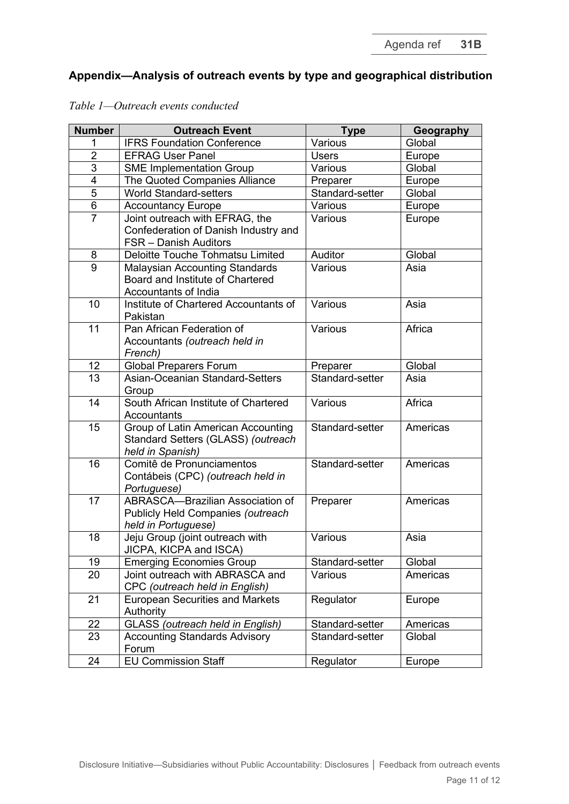# **Appendix—Analysis of outreach events by type and geographical distribution**

| <b>Number</b>  | <b>Outreach Event</b>                                                                                  | <b>Type</b>     | Geography |
|----------------|--------------------------------------------------------------------------------------------------------|-----------------|-----------|
|                | <b>IFRS Foundation Conference</b>                                                                      | Various         | Global    |
| $\overline{2}$ | <b>EFRAG User Panel</b>                                                                                | <b>Users</b>    | Europe    |
| $\overline{3}$ | <b>SME Implementation Group</b>                                                                        | Various         | Global    |
| 4              | The Quoted Companies Alliance                                                                          | Preparer        | Europe    |
| $\overline{5}$ | <b>World Standard-setters</b>                                                                          | Standard-setter | Global    |
| 6              | <b>Accountancy Europe</b>                                                                              | Various         | Europe    |
| $\overline{7}$ | Joint outreach with EFRAG, the<br>Confederation of Danish Industry and<br><b>FSR</b> – Danish Auditors | Various         | Europe    |
| 8              | Deloitte Touche Tohmatsu Limited                                                                       | Auditor         | Global    |
| 9              | <b>Malaysian Accounting Standards</b><br>Board and Institute of Chartered<br>Accountants of India      | Various         | Asia      |
| 10             | Institute of Chartered Accountants of<br>Pakistan                                                      | Various         | Asia      |
| 11             | Pan African Federation of<br>Accountants (outreach held in<br>French)                                  | Various         | Africa    |
| 12             | <b>Global Preparers Forum</b>                                                                          | Preparer        | Global    |
| 13             | Asian-Oceanian Standard-Setters<br>Group                                                               | Standard-setter | Asia      |
| 14             | South African Institute of Chartered<br>Accountants                                                    | Various         | Africa    |
| 15             | Group of Latin American Accounting<br>Standard Setters (GLASS) (outreach<br>held in Spanish)           | Standard-setter | Americas  |
| 16             | Comitê de Pronunciamentos<br>Contábeis (CPC) (outreach held in<br>Portuguese)                          | Standard-setter | Americas  |
| 17             | ABRASCA-Brazilian Association of<br>Publicly Held Companies (outreach<br>held in Portuguese)           | Preparer        | Americas  |
| 18             | Jeju Group (joint outreach with<br>JICPA, KICPA and ISCA)                                              | Various         | Asia      |
| 19             | <b>Emerging Economies Group</b>                                                                        | Standard-setter | Global    |
| 20             | Joint outreach with ABRASCA and<br>CPC (outreach held in English)                                      | Various         | Americas  |
| 21             | <b>European Securities and Markets</b><br>Authority                                                    | Regulator       | Europe    |
| 22             | <b>GLASS</b> (outreach held in English)                                                                | Standard-setter | Americas  |
| 23             | <b>Accounting Standards Advisory</b><br>Forum                                                          | Standard-setter | Global    |
| 24             | <b>EU Commission Staff</b>                                                                             | Regulator       | Europe    |

#### *Table 1—Outreach events conducted*